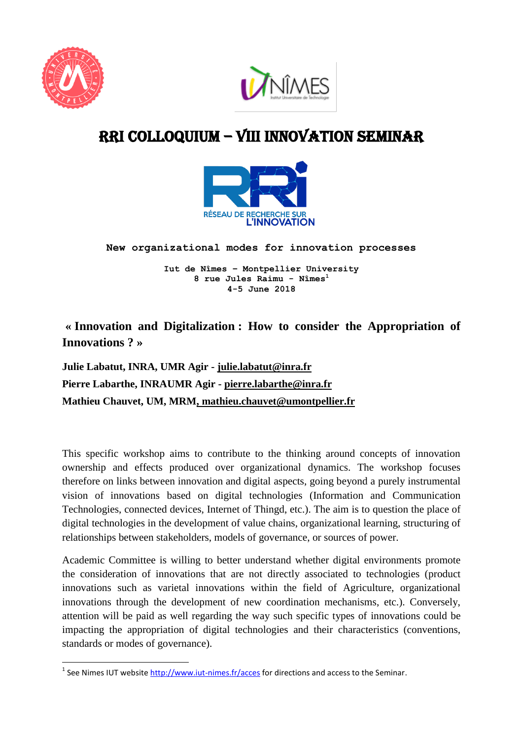

**.** 



## RRI COLLOQUIUM – VIII INNOVATION SEMINAR



**New organizational modes for innovation processes** 

**Iut de Nîmes – Montpellier University 8 rue Jules Raimu - Nîmes<sup>1</sup> 4-5 June 2018**

**« Innovation and Digitalization : How to consider the Appropriation of Innovations ? »**

**Julie Labatut, INRA, UMR Agir - [julie.labatut@inra.fr](mailto:julie.labatut@inra.fr) Pierre Labarthe, INRAUMR Agir - [pierre.labarthe@inra.fr](mailto:pierre.labarthe@inra.fr) Mathieu Chauvet, UM, MRM, mathieu.chauvet@umontpellier.fr**

This specific workshop aims to contribute to the thinking around concepts of innovation ownership and effects produced over organizational dynamics. The workshop focuses therefore on links between innovation and digital aspects, going beyond a purely instrumental vision of innovations based on digital technologies (Information and Communication Technologies, connected devices, Internet of Thingd, etc.). The aim is to question the place of digital technologies in the development of value chains, organizational learning, structuring of relationships between stakeholders, models of governance, or sources of power.

Academic Committee is willing to better understand whether digital environments promote the consideration of innovations that are not directly associated to technologies (product innovations such as varietal innovations within the field of Agriculture, organizational innovations through the development of new coordination mechanisms, etc.). Conversely, attention will be paid as well regarding the way such specific types of innovations could be impacting the appropriation of digital technologies and their characteristics (conventions, standards or modes of governance).

<sup>&</sup>lt;sup>1</sup> See Nimes IUT website <http://www.iut-nimes.fr/acces> for directions and access to the Seminar.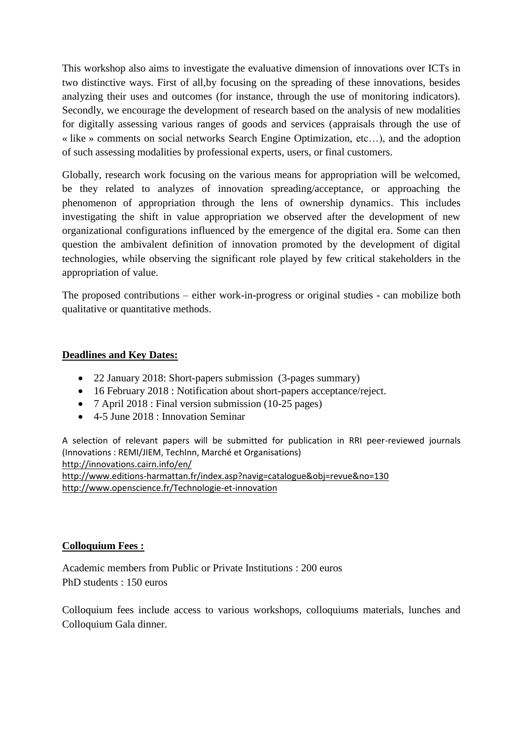This workshop also aims to investigate the evaluative dimension of innovations over ICTs in two distinctive ways. First of all,by focusing on the spreading of these innovations, besides analyzing their uses and outcomes (for instance, through the use of monitoring indicators). Secondly, we encourage the development of research based on the analysis of new modalities for digitally assessing various ranges of goods and services (appraisals through the use of « like » comments on social networks Search Engine Optimization, etc…), and the adoption of such assessing modalities by professional experts, users, or final customers.

Globally, research work focusing on the various means for appropriation will be welcomed, be they related to analyzes of innovation spreading/acceptance, or approaching the phenomenon of appropriation through the lens of ownership dynamics. This includes investigating the shift in value appropriation we observed after the development of new organizational configurations influenced by the emergence of the digital era. Some can then question the ambivalent definition of innovation promoted by the development of digital technologies, while observing the significant role played by few critical stakeholders in the appropriation of value.

The proposed contributions – either work-in-progress or original studies - can mobilize both qualitative or quantitative methods.

## **Deadlines and Key Dates:**

- 22 January 2018: Short-papers submission (3-pages summary)
- 16 February 2018 : Notification about short-papers acceptance/reject.
- 7 April 2018 : Final version submission (10-25 pages)
- 4-5 June 2018 : Innovation Seminar

A selection of relevant papers will be submitted for publication in RRI peer-reviewed journals (Innovations : REMI/JIEM, TechInn, Marché et Organisations) <http://innovations.cairn.info/en/> <http://www.editions-harmattan.fr/index.asp?navig=catalogue&obj=revue&no=130> <http://www.openscience.fr/Technologie-et-innovation>

## **Colloquium Fees :**

Academic members from Public or Private Institutions : 200 euros PhD students : 150 euros

Colloquium fees include access to various workshops, colloquiums materials, lunches and Colloquium Gala dinner.